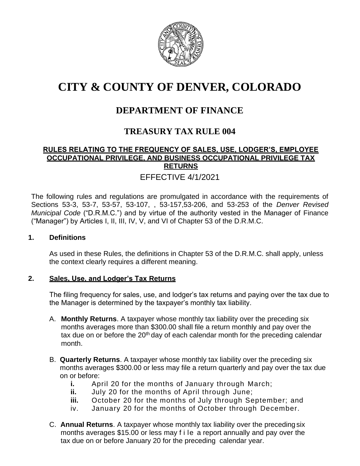

# **CITY & COUNTY OF DENVER, COLORADO**

## **DEPARTMENT OF FINANCE**

## **TREASURY TAX RULE 004**

### **RULES RELATING TO THE FREQUENCY OF SALES, USE, LODGER'S, EMPLOYEE OCCUPATIONAL PRIVILEGE, AND BUSINESS OCCUPATIONAL PRIVILEGE TAX RETURNS**

## EFFECTIVE 4/1/2021

The following rules and regulations are promulgated in accordance with the requirements of Sections 53-3, 53-7, 53-57, 53-107, , 53-157,53-206, and 53-253 of the *Denver Revised Municipal Code* ("D.R.M.C.") and by virtue of the authority vested in the Manager of Finance ("Manager") by Articles I, II, III, IV, V, and VI of Chapter 53 of the D.R.M.C.

#### **1. Definitions**

As used in these Rules, the definitions in Chapter 53 of the D.R.M.C. shall apply, unless the context clearly requires a different meaning.

#### **2. Sales, Use, and Lodger's Tax Returns**

The filing frequency for sales, use, and lodger's tax returns and paying over the tax due to the Manager is determined by the taxpayer's monthly tax liability.

- A. **Monthly Returns**. A taxpayer whose monthly tax liability over the preceding six months averages more than \$300.00 shall file a return monthly and pay over the tax due on or before the  $20<sup>th</sup>$  day of each calendar month for the preceding calendar month.
- B. **Quarterly Returns**. A taxpayer whose monthly tax liability over the preceding six months averages \$300.00 or less may file a return quarterly and pay over the tax due on or before:
	- **i.** April 20 for the months of January through March;
	- **ii.** July 20 for the months of April through June;
	- **iii.** October 20 for the months of July through September; and
	- iv. January 20 for the months of October through December.
- C. **Annual Returns**. A taxpayer whose monthly tax liability over the preceding six months averages \$15.00 or less may f i le a report annually and pay over the tax due on or before January 20 for the preceding calendar year.